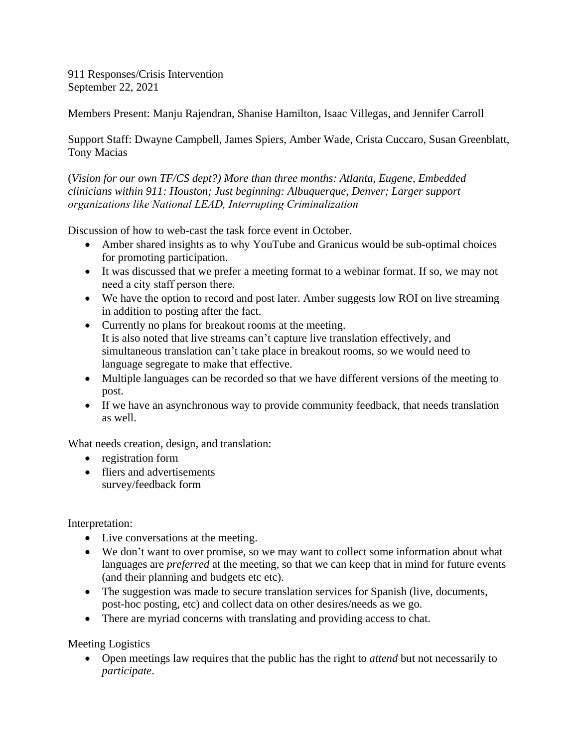911 Responses/Crisis Intervention September 22, 2021

Members Present: Manju Rajendran, Shanise Hamilton, Isaac Villegas, and Jennifer Carroll

Support Staff: Dwayne Campbell, James Spiers, Amber Wade, Crista Cuccaro, Susan Greenblatt, Tony Macias

(*Vision for our own TF/CS dept?) More than three months: Atlanta, Eugene, Embedded clinicians within 911: Houston; Just beginning: Albuquerque, Denver; Larger support organizations like National LEAD, Interrupting Criminalization* 

Discussion of how to web-cast the task force event in October.

- Amber shared insights as to why YouTube and Granicus would be sub-optimal choices for promoting participation.
- It was discussed that we prefer a meeting format to a webinar format. If so, we may not need a city staff person there.
- We have the option to record and post later. Amber suggests low ROI on live streaming in addition to posting after the fact.
- Currently no plans for breakout rooms at the meeting. It is also noted that live streams can't capture live translation effectively, and simultaneous translation can't take place in breakout rooms, so we would need to language segregate to make that effective.
- Multiple languages can be recorded so that we have different versions of the meeting to post.
- If we have an asynchronous way to provide community feedback, that needs translation as well.

What needs creation, design, and translation:

- registration form
- fliers and advertisements survey/feedback form

Interpretation:

- Live conversations at the meeting.
- We don't want to over promise, so we may want to collect some information about what languages are *preferred* at the meeting, so that we can keep that in mind for future events (and their planning and budgets etc etc).
- The suggestion was made to secure translation services for Spanish (live, documents, post-hoc posting, etc) and collect data on other desires/needs as we go.
- There are myriad concerns with translating and providing access to chat.

Meeting Logistics

 Open meetings law requires that the public has the right to *attend* but not necessarily to *participate*.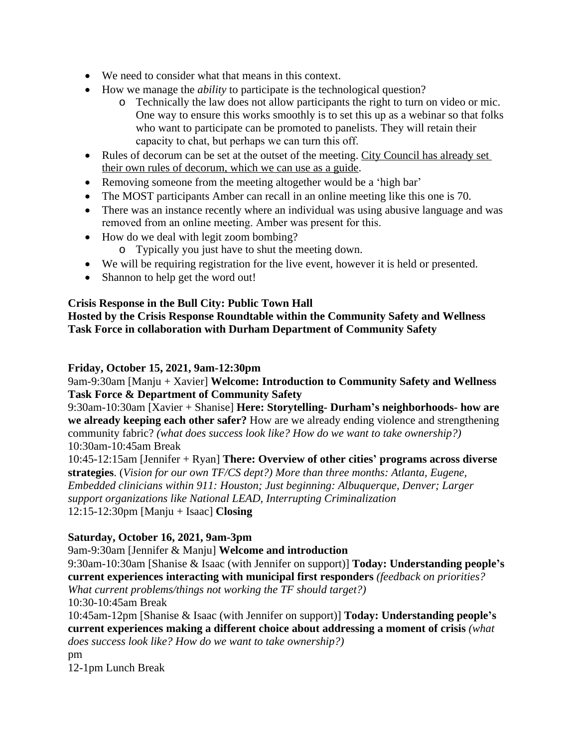- We need to consider what that means in this context.
- How we manage the *ability* to participate is the technological question?
	- o Technically the law does not allow participants the right to turn on video or mic. One way to ensure this works smoothly is to set this up as a webinar so that folks who want to participate can be promoted to panelists. They will retain their capacity to chat, but perhaps we can turn this off.
- Rules of decorum can be set at the outset of the meeting. City Council has already set their own rules of decorum, which we can use as a guide.
- Removing someone from the meeting altogether would be a 'high bar'
- The MOST participants Amber can recall in an online meeting like this one is 70.
- There was an instance recently where an individual was using abusive language and was removed from an online meeting. Amber was present for this.
- How do we deal with legit zoom bombing?
	- o Typically you just have to shut the meeting down.
- We will be requiring registration for the live event, however it is held or presented.
- Shannon to help get the word out!

## **Crisis Response in the Bull City: Public Town Hall**

**Hosted by the Crisis Response Roundtable within the Community Safety and Wellness Task Force in collaboration with Durham Department of Community Safety** 

## **Friday, October 15, 2021, 9am-12:30pm**

9am-9:30am [Manju + Xavier] **Welcome: Introduction to Community Safety and Wellness Task Force & Department of Community Safety**

9:30am-10:30am [Xavier + Shanise] **Here: Storytelling- Durham's neighborhoods- how are we already keeping each other safer?** How are we already ending violence and strengthening community fabric? *(what does success look like? How do we want to take ownership?)* 10:30am-10:45am Break

10:45-12:15am [Jennifer + Ryan] **There: Overview of other cities' programs across diverse strategies**. (*Vision for our own TF/CS dept?) More than three months: Atlanta, Eugene, Embedded clinicians within 911: Houston; Just beginning: Albuquerque, Denver; Larger support organizations like National LEAD, Interrupting Criminalization* 12:15-12:30pm [Manju + Isaac] **Closing**

## **Saturday, October 16, 2021, 9am-3pm**

9am-9:30am [Jennifer & Manju] **Welcome and introduction**

9:30am-10:30am [Shanise & Isaac (with Jennifer on support)] **Today: Understanding people's current experiences interacting with municipal first responders** *(feedback on priorities?* 

*What current problems/things not working the TF should target?)* 10:30-10:45am Break

10:45am-12pm [Shanise & Isaac (with Jennifer on support)] **Today: Understanding people's current experiences making a different choice about addressing a moment of crisis** *(what does success look like? How do we want to take ownership?)*

pm

12-1pm Lunch Break